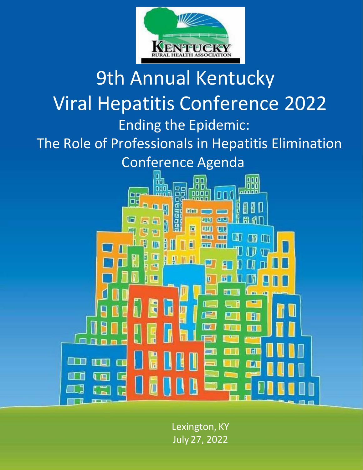

## 9th Annual Kentucky Viral Hepatitis Conference 2022 Ending the Epidemic: The Role of Professionals in Hepatitis Elimination Conference Agenda aga<br>aba oп nnl nool 88 ann n 0000 nr Or đι ╗  $\mathbb{F}$ H 师 K er **FILE** la 盲 नव ΠТ Œ  $\overline{\mathbf{u}}$ π 三百 ħ Ш त IJ

Lexington, KY July 27, 2022